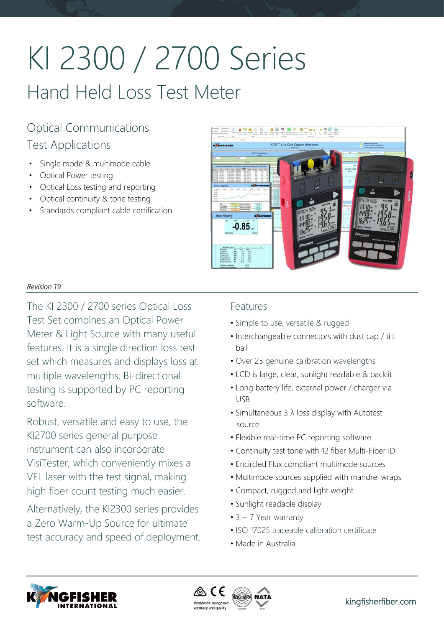# KI 2300 / 2700 Series Hand Held Loss Test Meter

# Optical Communications Test Applications

- Single mode & multimode cable
- Optical Power testing
- Optical Loss testing and reporting
- Optical continuity & tone testing
- Standards compliant cable certification



# *Revision 19*

The KI 2300 / 2700 series Optical Loss Test Set combines an Optical Power Meter & Light Source with many useful features. It is a single direction loss test set which measures and displays loss at multiple wavelengths. Bi-directional testing is supported by PC reporting software.

Robust, versatile and easy to use, the KI2700 series general purpose instrument can also incorporate VisiTester, which conveniently mixes a VFL laser with the test signal, making high fiber count testing much easier.

Alternatively, the KI2300 series provides a Zero Warm-Up Source for ultimate test accuracy and speed of deployment.

# Features

- Simple to use, versatile & rugged
- Interchangeable connectors with dust cap / tilt bail
- Over 25 genuine calibration wavelengths
- LCD is large, clear, sunlight readable & backlit
- Long battery life, external power / charger via USB
- Simultaneous 3 λ loss display with Autotest source
- Flexible real-time PC reporting software
- Continuity test tone with 12 fiber Multi-Fiber ID
- Encircled Flux compliant multimode sources
- Multimode sources supplied with mandrel wraps
- Compact, rugged and light weight
- Sunlight readable display
- 3 ~ 7 Year warranty
- ISO 17025 traceable calibration certificate
- Made in Australia



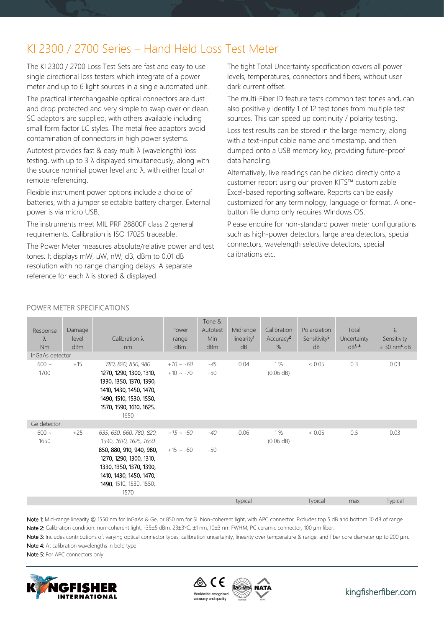# KI 2300 / 2700 Series – Hand Held Loss Test Meter

The KI 2300 / 2700 Loss Test Sets are fast and easy to use single directional loss testers which integrate of a power meter and up to 6 light sources in a single automated unit.

The practical interchangeable optical connectors are dust and drop protected and very simple to swap over or clean. SC adaptors are supplied, with others available including small form factor LC styles. The metal free adaptors avoid contamination of connectors in high power systems.

Autotest provides fast & easy multi λ (wavelength) loss testing, with up to 3 λ displayed simultaneously, along with the source nominal power level and  $\lambda$ , with either local or remote referencing.

Flexible instrument power options include a choice of batteries, with a jumper selectable battery charger. External power is via micro USB.

The instruments meet MIL PRF 28800F class 2 general requirements. Calibration is ISO 17025 traceable.

The Power Meter measures absolute/relative power and test tones. It displays mW, µW, nW, dB, dBm to 0.01 dB resolution with no range changing delays. A separate reference for each λ is stored & displayed.

The tight Total Uncertainty specification covers all power levels, temperatures, connectors and fibers, without user dark current offset.

The multi-Fiber ID feature tests common test tones and, can also positively identify 1 of 12 test tones from multiple test sources. This can speed up continuity / polarity testing.

Loss test results can be stored in the large memory, along with a text-input cable name and timestamp, and then dumped onto a USB memory key, providing future-proof data handling.

Alternatively, live readings can be clicked directly onto a customer report using our proven KITS™ customizable Excel-based reporting software. Reports can be easily customized for any terminology, language or format. A onebutton file dump only requires Windows OS.

Please enquire for non-standard power meter configurations such as high-power detectors, large area detectors, special connectors, wavelength selective detectors, special calibrations etc.

| Response<br>λ                | Damage<br>level | Calibration $\lambda$                                                                                                                                                                              | Power<br>range                   | Tone &<br>Autotest<br>Min | Midrange<br>linearity <sup>1</sup> | Calibration<br>Accuracy <sup>2</sup> | Polarization<br>Sensitivity <sup>5</sup> | Total<br>Uncertainty | $\lambda$<br>Sensitivity  |
|------------------------------|-----------------|----------------------------------------------------------------------------------------------------------------------------------------------------------------------------------------------------|----------------------------------|---------------------------|------------------------------------|--------------------------------------|------------------------------------------|----------------------|---------------------------|
| <b>Nm</b><br>InGaAs detector | dBm             | nm                                                                                                                                                                                                 | dBm                              | dBm                       | dB                                 | %                                    | dB                                       | $dB^{3, 4}$          | $± 30$ nm <sup>4</sup> dB |
| $600 \sim$<br>1700           | $+15$           | 780, 820, 850, 980<br>1270, 1290, 1300, 1310,<br>1330, 1350, 1370, 1390,<br>1410, 1430, 1450, 1470,<br>1490, 1510, 1530, 1550,<br>1570, 1590, 1610, 1625,<br>1650                                  | $+10 \sim -60$<br>$+10 \sim -70$ | $-45$<br>-50              | 0.04                               | 1%<br>(0.06 dB)                      | < 0.05                                   | 0.3                  | 0.03                      |
| Ge detector                  |                 |                                                                                                                                                                                                    |                                  |                           |                                    |                                      |                                          |                      |                           |
| $600 \sim$<br>1650           | $+25$           | 635, 650, 660, 780, 820,<br>1590, 1610, 1625, 1650<br>850, 880, 910, 940, 980,<br>1270, 1290, 1300, 1310,<br>1330, 1350, 1370, 1390,<br>1410, 1430, 1450, 1470,<br>1490, 1510, 1530, 1550,<br>1570 | $+15 \sim -50$<br>$+15$ ~ -60    | $-40$<br>$-50$            | 0.06                               | 1%<br>(0.06 dB)                      | < 0.05                                   | 0.5                  | 0.03                      |
|                              |                 |                                                                                                                                                                                                    |                                  |                           | typical                            |                                      | Typical                                  | max                  | Typical                   |

# POWER METER SPECIFICATIONS

Note 1: Mid-range linearity @ 1550 nm for InGaAs & Ge, or 850 nm for Si. Non-coherent light, with APC connector. Excludes top 5 dB and bottom 10 dB of range. Note 2: Calibration condition: non-coherent light, -35±5 dBm, 23±3°C, ±1 nm, 10±3 nm FWHM, PC ceramic connector, 100 µm fiber.

Note 3: Includes contributions of: varying optical connector types, calibration uncertainty, linearity over temperature & range, and fiber core diameter up to 200 µm. Note 4: At calibration wavelengths in bold type.

Note 5: For APC connectors only.



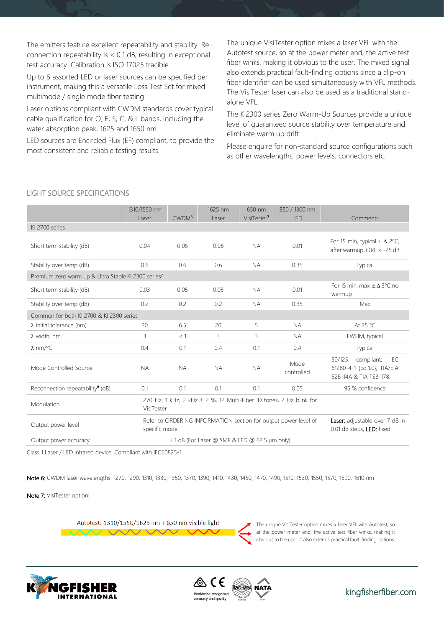The emitters feature excellent repeatability and stability. Reconnection repeatability is < 0.1 dB, resulting in exceptional test accuracy. Calibration is ISO 17025 tracible.

Up to 6 assorted LED or laser sources can be specified per instrument, making this a versatile Loss Test Set for mixed multimode / single mode fiber testing.

Laser options compliant with CWDM standards cover typical cable qualification for O, E, S, C, & L bands, including the water absorption peak, 1625 and 1650 nm.

LED sources are Encircled Flux (EF) compliant, to provide the most consistent and reliable testing results.

The unique VisiTester option mixes a laser VFL with the Autotest source, so at the power meter end, the active test fiber winks, making it obvious to the user. The mixed signal also extends practical fault-finding options since a clip-on fiber identifier can be used simultaneously with VFL methods. The VisiTester laser can also be used as a traditional standalone VFL.

The KI2300 series Zero Warm-Up Sources provide a unique level of guaranteed source stability over temperature and eliminate warm up drift.

Please enquire for non-standard source configurations such as other wavelengths, power levels, connectors etc.

|                                                                                                 | 1310/1550 nm   |                                                                 | 1625 nm                                                     | 650 nm                  | 850 / 1300 nm      |                                                                                      |  |  |
|-------------------------------------------------------------------------------------------------|----------------|-----------------------------------------------------------------|-------------------------------------------------------------|-------------------------|--------------------|--------------------------------------------------------------------------------------|--|--|
|                                                                                                 | <b>Laser</b>   | CWDM <sup>6</sup>                                               | <b>Laser</b>                                                | VisiTester <sup>7</sup> | <b>LED</b>         | Comments                                                                             |  |  |
| KI 2700 series                                                                                  |                |                                                                 |                                                             |                         |                    |                                                                                      |  |  |
| Short term stability (dB)                                                                       | 0.04           | 0.06                                                            | 0.06                                                        | <b>NA</b>               | 0.01               | For 15 min, typical $\pm \Delta$ 2°C,<br>after warmup, ORL < -25 dB                  |  |  |
| Stability over temp (dB)                                                                        | 0.6            | 0.6                                                             | 0.6                                                         | <b>NA</b>               | 0.35               | Typical                                                                              |  |  |
| Premium zero warm up & Ultra Stable KI 2300 series <sup>7</sup>                                 |                |                                                                 |                                                             |                         |                    |                                                                                      |  |  |
| Short term stability (dB)                                                                       | 0.03           | 0.05                                                            | 0.05                                                        | <b>NA</b>               | 0.01               | For 15 min, max, $\pm \Delta$ 3°C no<br>warmup                                       |  |  |
| Stability over temp (dB)                                                                        | 0.2            | 0.2                                                             | 0.2                                                         | <b>NA</b>               | 0.35               | Max                                                                                  |  |  |
| Common for both KI 2700 & KI 2300 series                                                        |                |                                                                 |                                                             |                         |                    |                                                                                      |  |  |
| $\lambda$ initial tolerance (nm)                                                                | 20             | 6.5                                                             | 20                                                          | 5                       | <b>NA</b>          | At 25 °C                                                                             |  |  |
| $\lambda$ width, nm                                                                             | 3              | < 1                                                             | 3                                                           | 3                       | <b>NA</b>          | FWHM, typical                                                                        |  |  |
| $\lambda$ nm/°C                                                                                 | 0.4            | 0.1                                                             | 0.4                                                         | 0.1                     | 0.4                | Typical                                                                              |  |  |
| Mode Controlled Source                                                                          | <b>NA</b>      | <b>NA</b>                                                       | <b>NA</b>                                                   | <b>NA</b>               | Mode<br>controlled | 50/125<br>compliant:<br>IFC<br>61280-4-1 {Ed.1.0}, TIA/EIA<br>526-14A & TIA TSB-178. |  |  |
| Reconnection repeatability $\frac{8}{3}$ (dB)                                                   | 0.1            | 0.1                                                             | 0.1                                                         | 0.1                     | 0.05               | 95 % confidence                                                                      |  |  |
| 270 Hz, 1 kHz, 2 kHz ± 2 %, 12 Multi-Fiber ID tones, 2 Hz blink for<br>Modulation<br>VisiTester |                |                                                                 |                                                             |                         |                    |                                                                                      |  |  |
| Output power level                                                                              | specific model | Refer to ORDERING INFORMATION section for output power level of | Laser: adjustable over 7 dB in<br>0.01 dB steps, LED: fixed |                         |                    |                                                                                      |  |  |
| Output power accuracy                                                                           |                | ±1dB (For Laser @ SMF & LED @ 62.5 µm only)                     |                                                             |                         |                    |                                                                                      |  |  |

LIGHT SOURCE SPECIFICATIONS

Class 1 Laser / LED infrared device. Compliant with IEC60825-1.

 $\sim$ 

Note 6: CWDM laser wavelengths: 1270, 1290, 1310, 1330, 1350, 1370, 1390, 1410, 1430, 1450, 1470, 1490, 1510, 1530, 1550, 1570, 1590, 1610 nm

Note 7: VisiTester option:

Autotest: 1310/1550/1625 nm + 650 nm visible light





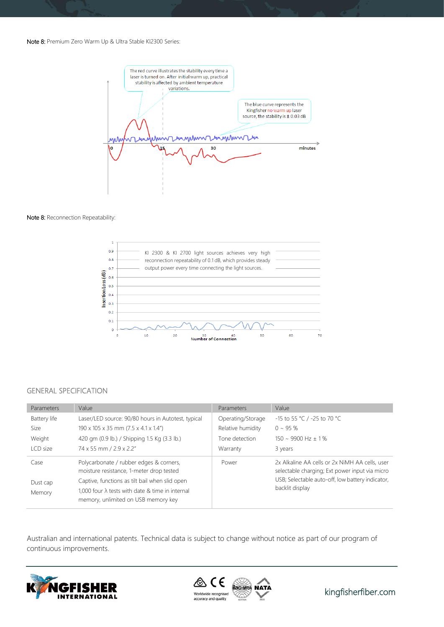#### Note 8: Premium Zero Warm Up & Ultra Stable KI2300 Series:



#### Note 8: Reconnection Repeatability:



#### GENERAL SPECIFICATION

| Parameters                 | Value                                                                                                                                                                                                                                   | Parameters        | Value                                                                                                                                                                   |
|----------------------------|-----------------------------------------------------------------------------------------------------------------------------------------------------------------------------------------------------------------------------------------|-------------------|-------------------------------------------------------------------------------------------------------------------------------------------------------------------------|
| Battery life               | Laser/LED source: 90/80 hours in Autotest, typical                                                                                                                                                                                      | Operating/Storage | -15 to 55 °C / -25 to 70 °C                                                                                                                                             |
| Size                       | 190 x 105 x 35 mm (7.5 x 4.1 x 1.4")                                                                                                                                                                                                    | Relative humidity | $0 \sim 95 \%$                                                                                                                                                          |
| Weight                     | 420 gm (0.9 lb.) / Shipping 1.5 Kg (3.3 lb.)                                                                                                                                                                                            | Tone detection    | $150 \sim 9900$ Hz + 1%                                                                                                                                                 |
| LCD size                   | 74 x 55 mm / 2.9 x 2.2"                                                                                                                                                                                                                 | Warranty          | 3 years                                                                                                                                                                 |
| Case<br>Dust cap<br>Memory | Polycarbonate / rubber edges & corners,<br>moisture resistance, 1-meter drop tested<br>Captive, functions as tilt bail when slid open<br>1,000 four $\lambda$ tests with date & time in internal<br>memory, unlimited on USB memory key | Power             | 2x Alkaline AA cells or 2x NiMH AA cells, user<br>selectable charging; Ext power input via micro<br>USB; Selectable auto-off, low battery indicator,<br>backlit display |

Australian and international patents. Technical data is subject to change without notice as part of our program of continuous improvements.





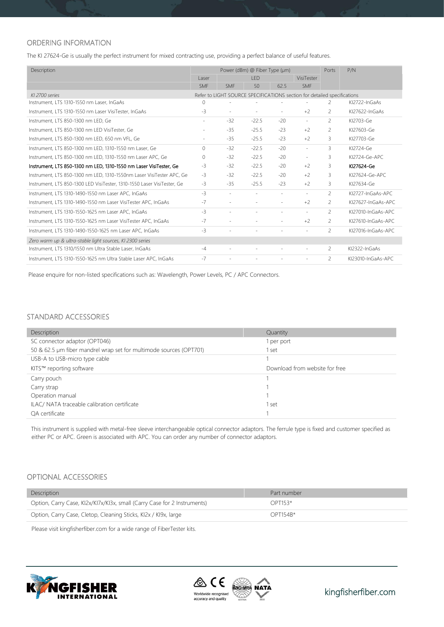# ORDERING INFORMATION

The KI 27624-Ge is usually the perfect instrument for mixed contracting use, providing a perfect balance of useful features.

| Description                                                             |            | Power (dBm) @ Fiber Type (µm) |                                                                          |            |                          | Ports                    | P/N                |
|-------------------------------------------------------------------------|------------|-------------------------------|--------------------------------------------------------------------------|------------|--------------------------|--------------------------|--------------------|
|                                                                         |            | LED                           |                                                                          | VisiTester |                          |                          |                    |
|                                                                         | <b>SMF</b> | <b>SMF</b>                    | 50                                                                       | 62.5       | <b>SMF</b>               |                          |                    |
| KI 2700 series                                                          |            |                               | Refer to LIGHT SOURCE SPECIFICATIONS section for detailed specifications |            |                          |                          |                    |
| Instrument, LTS 1310-1550 nm Laser, InGaAs                              | $\circ$    |                               |                                                                          |            |                          | 2                        | KI2722-InGaAs      |
| Instrument, LTS 1310-1550 nm Laser VisiTester, InGaAs                   | $-3$       | $\sim$                        |                                                                          | $\sim$     | $+2$                     | 2                        | KI27622-InGaAs     |
| Instrument, LTS 850-1300 nm LED, Ge                                     | $\sim$     | $-32$                         | $-22.5$                                                                  | $-20$      | $\overline{\phantom{a}}$ | 2                        | KI2703-Ge          |
| Instrument, LTS 850-1300 nm LED VisiTester, Ge                          | $\sim$     | $-35$                         | $-25.5$                                                                  | $-23$      | $+2$                     | $\overline{c}$           | KI27603-Ge         |
| Instrument, LTS 850-1300 nm LED, 650 nm VFL, Ge                         | $\sim$     | $-35$                         | $-25.5$                                                                  | $-23$      | $+2$                     | 3                        | KI27703-Ge         |
| Instrument, LTS 850-1300 nm LED, 1310-1550 nm Laser, Ge                 | $\Omega$   | $-32$                         | $-22.5$                                                                  | $-20$      | ÷.                       | 3                        | KI2724-Ge          |
| Instrument, LTS 850-1300 nm LED, 1310-1550 nm Laser APC, Ge             | $\Omega$   | $-32$                         | $-22.5$                                                                  | $-20$      | $\overline{a}$           | 3                        | KI2724-Ge-APC      |
| Instrument, LTS 850-1300 nm LED, 1310-1550 nm Laser VisiTester, Ge      | $-3$       | $-32$                         | $-22.5$                                                                  | $-20$      | $+2$                     | 3                        | KI27624-Ge         |
| Instrument, LTS 850-1300 nm LED, 1310-1550nm Laser VisiTester APC, Ge   | $-3$       | $-32$                         | $-22.5$                                                                  | $-20$      | $+2$                     | 3                        | KI27624-Ge-APC     |
| Instrument, LTS 850-1300 LED VisiTester, 1310-1550 Laser VisiTester, Ge | $-3$       | $-35$                         | $-25.5$                                                                  | $-23$      | $+2$                     | 3                        | KI27634-Ge         |
| Instrument, LTS 1310-1490-1550 nm Laser APC, InGaAs                     | $-3$       | $\overline{\phantom{a}}$      | $\sim$                                                                   | $\sim$     | $\sim$                   | 2                        | KI2727-InGaAs-APC  |
| Instrument, LTS 1310-1490-1550 nm Laser VisiTester APC, InGaAs          | $-7$       | $\sim$                        |                                                                          |            | $+2$                     | $\overline{2}$           | KI27627-InGaAs-APC |
| Instrument, LTS 1310-1550-1625 nm Laser APC, InGaAs                     | $-3$       | $\sim$                        |                                                                          | $\sim$     | $\overline{a}$           | $\overline{\phantom{a}}$ | KI27010-InGaAs-APC |
| Instrument, LTS 1310-1550-1625 nm Laser VisiTester APC, InGaAs          | $-7$       | $\sim$                        |                                                                          |            | $+2$                     | $\overline{c}$           | KI27610-InGaAs-APC |
| Instrument, LTS 1310-1490-1550-1625 nm Laser APC, InGaAs                | $-3$       | $\sim$                        |                                                                          |            | $\overline{a}$           | $\overline{c}$           | KI27016-InGaAs-APC |
| Zero warm up & ultra-stable light sources, KI 2300 series               |            |                               |                                                                          |            |                          |                          |                    |
| Instrument, LTS 1310/1550 nm Ultra Stable Laser, InGaAs                 | $-4$       | $\sim$                        |                                                                          |            |                          | $\overline{c}$           | KI2322-InGaAs      |
| Instrument, LTS 1310-1550-1625 nm Ultra Stable Laser APC, InGaAs        | $-7$       |                               |                                                                          |            | $\sim$                   | $\overline{\phantom{a}}$ | KI23010-InGaAs-APC |

Please enquire for non-listed specifications such as: Wavelength, Power Levels, PC / APC Connectors.

## STANDARD ACCESSORIES

| Description                                                        | Quantity                       |
|--------------------------------------------------------------------|--------------------------------|
| SC connector adaptor (OPT046)                                      | I per port                     |
| 50 & 62.5 µm fiber mandrel wrap set for multimode sources (OPT701) | l set                          |
| USB-A to USB-micro type cable                                      |                                |
| KITS™ reporting software                                           | Download from website for free |
| Carry pouch                                                        |                                |
| Carry strap                                                        |                                |
| Operation manual                                                   |                                |
| ILAC/ NATA traceable calibration certificate                       | l set                          |
| OA certificate                                                     |                                |

This instrument is supplied with metal-free sleeve interchangeable optical connector adaptors. The ferrule type is fixed and customer specified as either PC or APC. Green is associated with APC. You can order any number of connector adaptors.

## OPTIONAL ACCESSORIES

| Description                                                              | Part number |  |
|--------------------------------------------------------------------------|-------------|--|
| Option, Carry Case, KI2x/KI7x/KI3x, small (Carry Case for 2 Instruments) | $OPT153*$   |  |
| Option, Carry Case, Cletop, Cleaning Sticks, KI2x / KI9x, large          | $OPT154R*$  |  |

Please visit kingfisherfiber.com for a wide range of FiberTester kits.